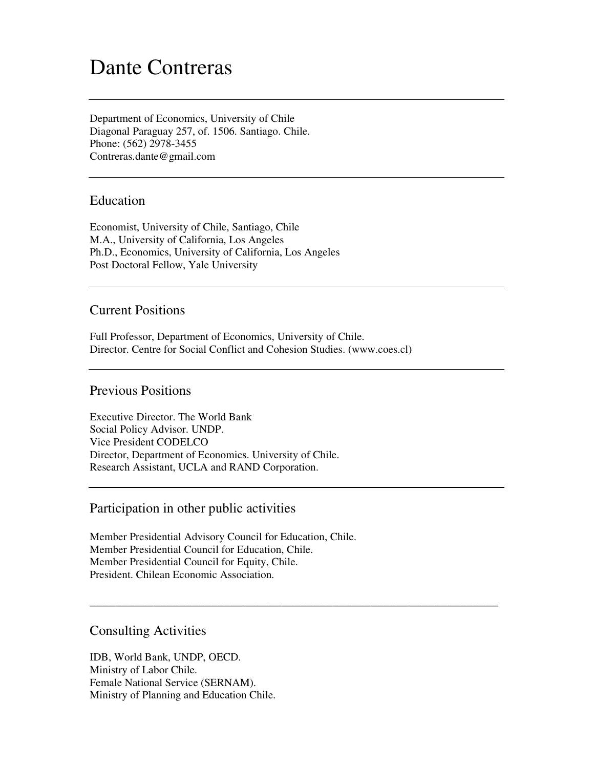# Dante Contreras

Department of Economics, University of Chile Diagonal Paraguay 257, of. 1506. Santiago. Chile. Phone: (562) 2978-3455 Contreras.dante@gmail.com

#### Education

Economist, University of Chile, Santiago, Chile M.A., University of California, Los Angeles Ph.D., Economics, University of California, Los Angeles Post Doctoral Fellow, Yale University

# Current Positions

Full Professor, Department of Economics, University of Chile. Director. Centre for Social Conflict and Cohesion Studies. (www.coes.cl)

#### Previous Positions

Executive Director. The World Bank Social Policy Advisor. UNDP. Vice President CODELCO Director, Department of Economics. University of Chile. Research Assistant, UCLA and RAND Corporation.

#### Participation in other public activities

Member Presidential Advisory Council for Education, Chile. Member Presidential Council for Education, Chile. Member Presidential Council for Equity, Chile. President. Chilean Economic Association.

\_\_\_\_\_\_\_\_\_\_\_\_\_\_\_\_\_\_\_\_\_\_\_\_\_\_\_\_\_\_\_\_\_\_\_\_\_\_\_\_\_\_\_\_\_\_\_\_\_\_\_\_\_\_\_\_\_\_\_\_\_\_\_\_

# Consulting Activities

IDB, World Bank, UNDP, OECD. Ministry of Labor Chile. Female National Service (SERNAM). Ministry of Planning and Education Chile.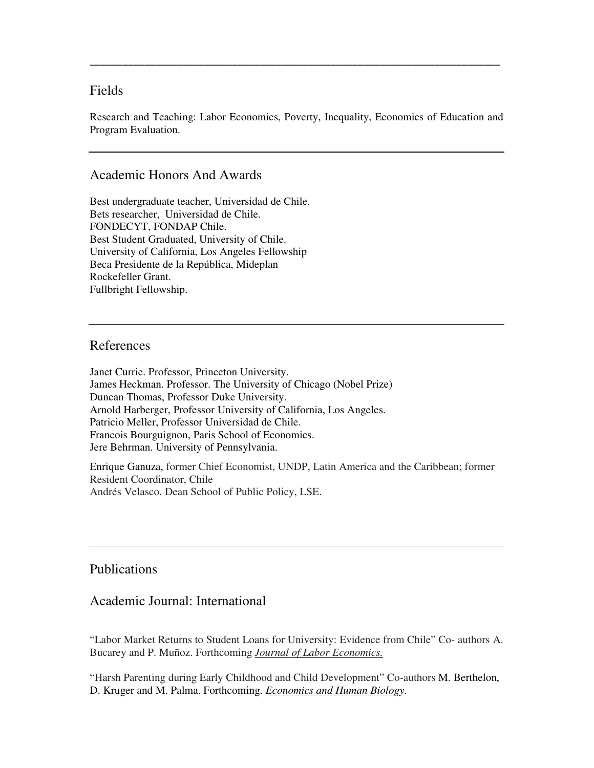# Fields

Research and Teaching: Labor Economics, Poverty, Inequality, Economics of Education and Program Evaluation.

**\_\_\_\_\_\_\_\_\_\_\_\_\_\_\_\_\_\_\_\_\_\_\_\_\_\_\_\_\_\_\_\_\_\_\_\_\_\_\_\_\_\_\_\_\_\_\_\_\_\_\_\_\_\_\_\_\_\_\_\_\_\_\_\_\_\_\_\_\_\_\_\_\_\_\_** 

# Academic Honors And Awards

Best undergraduate teacher, Universidad de Chile. Bets researcher, Universidad de Chile. FONDECYT, FONDAP Chile. Best Student Graduated, University of Chile. University of California, Los Angeles Fellowship Beca Presidente de la República, Mideplan Rockefeller Grant. Fullbright Fellowship.

#### References

Janet Currie. Professor, Princeton University. James Heckman. Professor. The University of Chicago (Nobel Prize) Duncan Thomas, Professor Duke University. Arnold Harberger, Professor University of California, Los Angeles. Patricio Meller, Professor Universidad de Chile. Francois Bourguignon, Paris School of Economics. Jere Behrman. University of Pennsylvania.

Enrique Ganuza, former Chief Economist, UNDP, Latin America and the Caribbean; former Resident Coordinator, Chile Andrés Velasco. Dean School of Public Policy, LSE.

# Publications

# Academic Journal: International

"Labor Market Returns to Student Loans for University: Evidence from Chile" Co- authors A. Bucarey and P. Muñoz. Forthcoming *Journal of Labor Economics.* 

"Harsh Parenting during Early Childhood and Child Development" Co-authors M. Berthelon, D. Kruger and M. Palma. Forthcoming. *Economics and Human Biology*.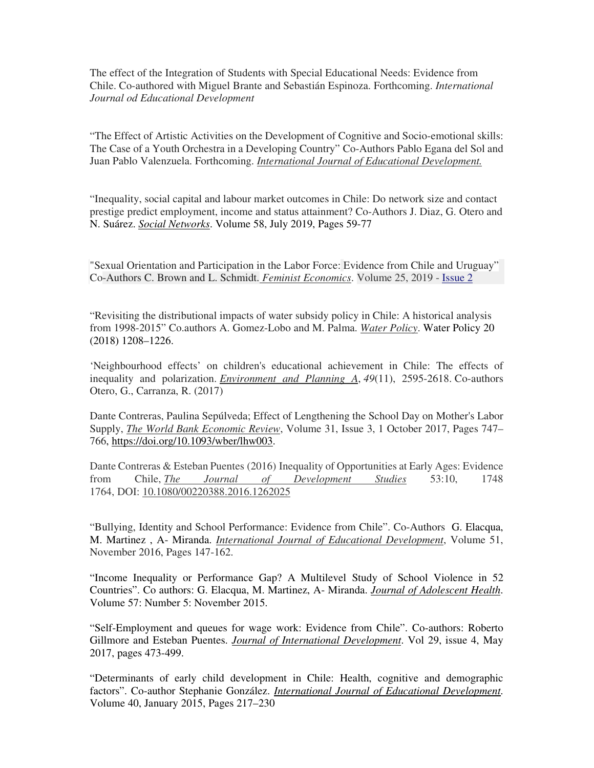The effect of the Integration of Students with Special Educational Needs: Evidence from Chile. Co-authored with Miguel Brante and Sebastián Espinoza. Forthcoming. *International Journal od Educational Development* 

"The Effect of Artistic Activities on the Development of Cognitive and Socio-emotional skills: The Case of a Youth Orchestra in a Developing Country" Co-Authors Pablo Egana del Sol and Juan Pablo Valenzuela. Forthcoming. *International Journal of Educational Development.*

"Inequality, social capital and labour market outcomes in Chile: Do network size and contact prestige predict employment, income and status attainment? Co-Authors J. Diaz, G. Otero and N. Suárez. *Social Networks*. Volume 58, July 2019, Pages 59-77

"Sexual Orientation and Participation in the Labor Force: Evidence from Chile and Uruguay" Co-Authors C. Brown and L. Schmidt. *Feminist Economics*. Volume 25, 2019 - Issue 2

"Revisiting the distributional impacts of water subsidy policy in Chile: A historical analysis from 1998-2015" Co.authors A. Gomez-Lobo and M. Palma. *Water Policy*. Water Policy 20 (2018) 1208–1226.

'Neighbourhood effects' on children's educational achievement in Chile: The effects of inequality and polarization. *Environment and Planning A*, *49*(11), 2595-2618. Co-authors Otero, G., Carranza, R. (2017)

Dante Contreras, Paulina Sepúlveda; Effect of Lengthening the School Day on Mother's Labor Supply, *The World Bank Economic Review*, Volume 31, Issue 3, 1 October 2017, Pages 747– 766, https://doi.org/10.1093/wber/lhw003.

Dante Contreras & Esteban Puentes (2016) Inequality of Opportunities at Early Ages: Evidence from Chile, *The Journal of Development Studies* 53:10, 1748 1764, DOI: 10.1080/00220388.2016.1262025

"Bullying, Identity and School Performance: Evidence from Chile". Co-Authors G. Elacqua, M. Martinez , A- Miranda. *International Journal of Educational Development*, Volume 51, November 2016, Pages 147-162.

"Income Inequality or Performance Gap? A Multilevel Study of School Violence in 52 Countries". Co authors: G. Elacqua, M. Martinez, A- Miranda. *Journal of Adolescent Health*. Volume 57: Number 5: November 2015.

"Self-Employment and queues for wage work: Evidence from Chile". Co-authors: Roberto Gillmore and Esteban Puentes. *Journal of International Development*. Vol 29, issue 4, May 2017, pages 473-499.

"Determinants of early child development in Chile: Health, cognitive and demographic factors". Co-author Stephanie González. *International Journal of Educational Development*. Volume 40, January 2015, Pages 217–230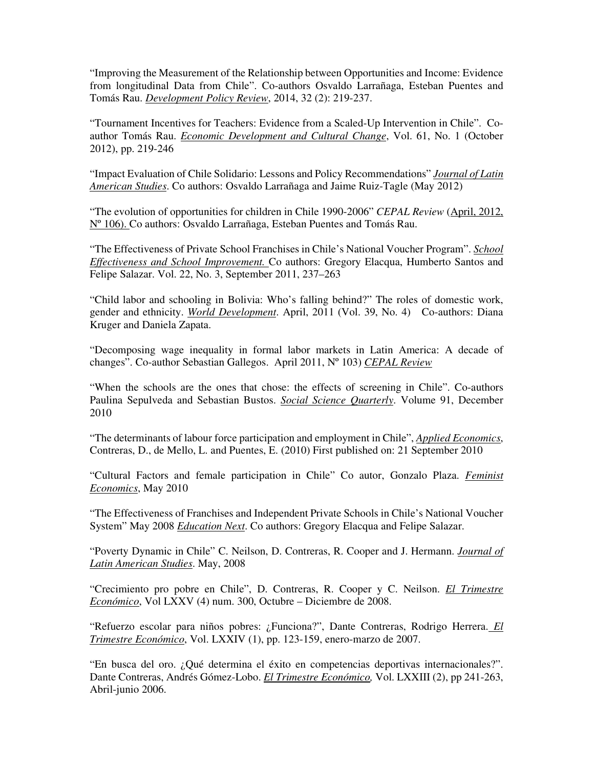"Improving the Measurement of the Relationship between Opportunities and Income: Evidence from longitudinal Data from Chile". Co-authors Osvaldo Larrañaga, Esteban Puentes and Tomás Rau. *Development Policy Review*, 2014, 32 (2): 219-237.

"Tournament Incentives for Teachers: Evidence from a Scaled-Up Intervention in Chile". Coauthor Tomás Rau. *Economic Development and Cultural Change*, Vol. 61, No. 1 (October 2012), pp. 219-246

"Impact Evaluation of Chile Solidario: Lessons and Policy Recommendations" *Journal of Latin American Studies*. Co authors: Osvaldo Larrañaga and Jaime Ruiz-Tagle (May 2012)

"The evolution of opportunities for children in Chile 1990-2006" *CEPAL Review* (April, 2012, Nº 106). Co authors: Osvaldo Larrañaga, Esteban Puentes and Tomás Rau.

"The Effectiveness of Private School Franchises in Chile's National Voucher Program". *School Effectiveness and School Improvement.* Co authors: Gregory Elacqua, Humberto Santos and Felipe Salazar. Vol. 22, No. 3, September 2011, 237–263

"Child labor and schooling in Bolivia: Who's falling behind?" The roles of domestic work, gender and ethnicity. *World Development*. April, 2011 (Vol. 39, No. 4) Co-authors: Diana Kruger and Daniela Zapata.

"Decomposing wage inequality in formal labor markets in Latin America: A decade of changes". Co-author Sebastian Gallegos. April 2011, Nº 103) *CEPAL Review*

"When the schools are the ones that chose: the effects of screening in Chile". Co-authors Paulina Sepulveda and Sebastian Bustos. *Social Science Quarterly*. Volume 91, December 2010

"The determinants of labour force participation and employment in Chile", *Applied Economics*, Contreras, D., de Mello, L. and Puentes, E. (2010) First published on: 21 September 2010

"Cultural Factors and female participation in Chile" Co autor, Gonzalo Plaza. *Feminist Economics*, May 2010

"The Effectiveness of Franchises and Independent Private Schools in Chile's National Voucher System" May 2008 *Education Next*. Co authors: Gregory Elacqua and Felipe Salazar.

"Poverty Dynamic in Chile" C. Neilson, D. Contreras, R. Cooper and J. Hermann. *Journal of Latin American Studies*. May, 2008

"Crecimiento pro pobre en Chile", D. Contreras, R. Cooper y C. Neilson. *El Trimestre Económico*, Vol LXXV (4) num. 300, Octubre – Diciembre de 2008.

"Refuerzo escolar para niños pobres: ¿Funciona?", Dante Contreras, Rodrigo Herrera. *El Trimestre Económico*, Vol. LXXIV (1), pp. 123-159, enero-marzo de 2007.

"En busca del oro. ¿Qué determina el éxito en competencias deportivas internacionales?". Dante Contreras, Andrés Gómez-Lobo. *El Trimestre Económico,* Vol. LXXIII (2), pp 241-263, Abril-junio 2006.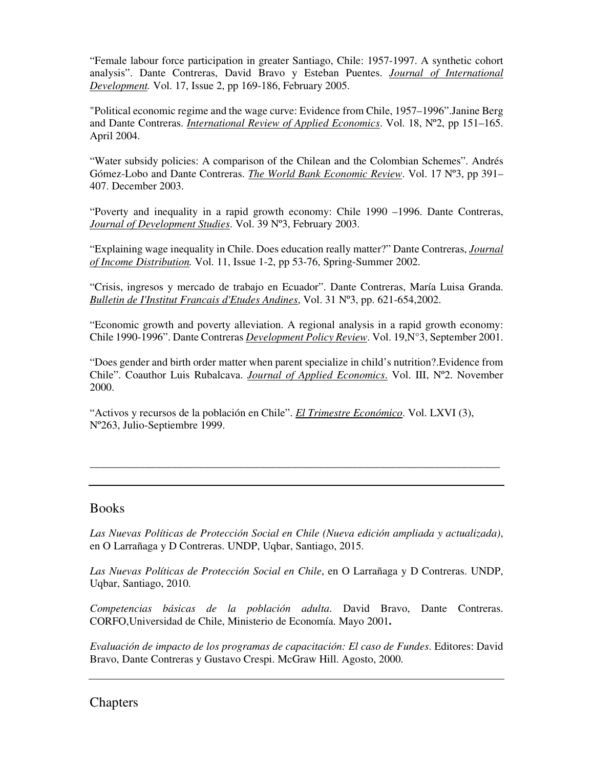"Female labour force participation in greater Santiago, Chile: 1957-1997. A synthetic cohort analysis". Dante Contreras, David Bravo y Esteban Puentes. *Journal of International Development.* Vol. 17, Issue 2, pp 169-186, February 2005.

"Political economic regime and the wage curve: Evidence from Chile, 1957–1996".Janine Berg and Dante Contreras. *International Review of Applied Economics*. Vol. 18, Nº2, pp 151–165. April 2004.

"Water subsidy policies: A comparison of the Chilean and the Colombian Schemes". Andrés Gómez-Lobo and Dante Contreras. *The World Bank Economic Review*. Vol. 17 Nº3, pp 391– 407. December 2003.

"Poverty and inequality in a rapid growth economy: Chile 1990 –1996. Dante Contreras, *Journal of Development Studies*. Vol. 39 Nº3, February 2003.

"Explaining wage inequality in Chile. Does education really matter?" Dante Contreras, *Journal of Income Distribution.* Vol. 11, Issue 1-2, pp 53-76, Spring-Summer 2002.

"Crisis, ingresos y mercado de trabajo en Ecuador". Dante Contreras, María Luisa Granda. *Bulletin de I'Institut Francais d'Etudes Andines*, Vol. 31 Nº3, pp. 621-654,2002.

"Economic growth and poverty alleviation. A regional analysis in a rapid growth economy: Chile 1990-1996". Dante Contreras *Development Policy Review*. Vol. 19,N°3, September 2001.

"Does gender and birth order matter when parent specialize in child's nutrition?.Evidence from Chile". Coauthor Luis Rubalcava. *Journal of Applied Economics*. Vol. III, Nº2. November 2000.

"Activos y recursos de la población en Chile". *El Trimestre Económico*. Vol. LXVI (3), Nº263, Julio-Septiembre 1999.

#### **Books**

*Las Nuevas Políticas de Protección Social en Chile (Nueva edición ampliada y actualizada)*, en O Larrañaga y D Contreras. UNDP, Uqbar, Santiago, 2015.

\_\_\_\_\_\_\_\_\_\_\_\_\_\_\_\_\_\_\_\_\_\_\_\_\_\_\_\_\_\_\_\_\_\_\_\_\_\_\_\_\_\_\_\_\_\_\_\_\_\_\_\_\_\_\_\_\_\_\_\_\_\_\_\_\_\_\_\_\_\_\_\_\_\_\_

*Las Nuevas Políticas de Protección Social en Chile*, en O Larrañaga y D Contreras. UNDP, Uqbar, Santiago, 2010.

*Competencias básicas de la población adulta*. David Bravo, Dante Contreras. CORFO,Universidad de Chile, Ministerio de Economía. Mayo 2001**.** 

*Evaluación de impacto de los programas de capacitación: El caso de Fundes*. Editores: David Bravo, Dante Contreras y Gustavo Crespi. McGraw Hill. Agosto, 2000.

#### Chapters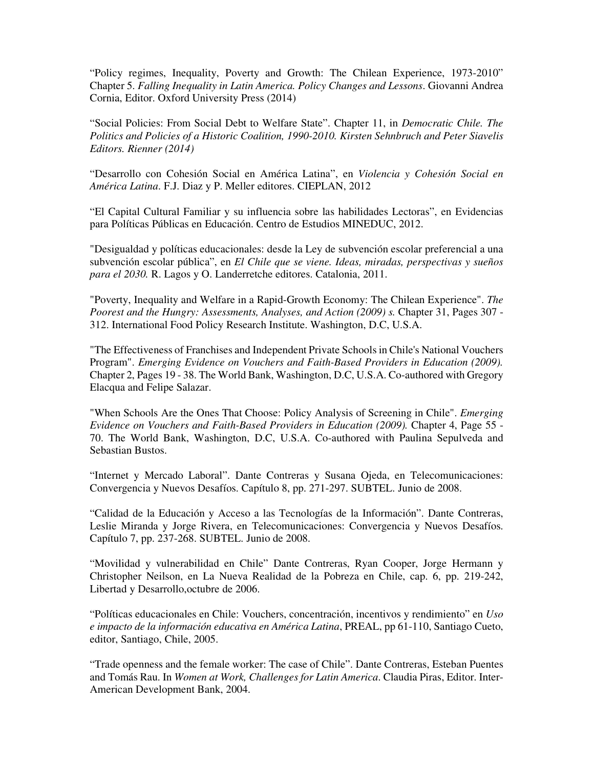"Policy regimes, Inequality, Poverty and Growth: The Chilean Experience, 1973-2010" Chapter 5. *Falling Inequality in Latin America. Policy Changes and Lessons*. Giovanni Andrea Cornia, Editor. Oxford University Press (2014)

"Social Policies: From Social Debt to Welfare State". Chapter 11, in *Democratic Chile. The Politics and Policies of a Historic Coalition, 1990-2010. Kirsten Sehnbruch and Peter Siavelis Editors. Rienner (2014)* 

"Desarrollo con Cohesión Social en América Latina", en *Violencia y Cohesión Social en América Latina*. F.J. Diaz y P. Meller editores. CIEPLAN, 2012

"El Capital Cultural Familiar y su influencia sobre las habilidades Lectoras", en Evidencias para Políticas Públicas en Educación. Centro de Estudios MINEDUC, 2012.

"Desigualdad y políticas educacionales: desde la Ley de subvención escolar preferencial a una subvención escolar pública", en *El Chile que se viene. Ideas, miradas, perspectivas y sueños para el 2030.* R. Lagos y O. Landerretche editores. Catalonia, 2011.

"Poverty, Inequality and Welfare in a Rapid-Growth Economy: The Chilean Experience". *The Poorest and the Hungry: Assessments, Analyses, and Action (2009) s.* Chapter 31, Pages 307 - 312. International Food Policy Research Institute. Washington, D.C, U.S.A.

"The Effectiveness of Franchises and Independent Private Schools in Chile's National Vouchers Program". *Emerging Evidence on Vouchers and Faith-Based Providers in Education (2009).*  Chapter 2, Pages 19 - 38. The World Bank, Washington, D.C, U.S.A. Co-authored with Gregory Elacqua and Felipe Salazar.

"When Schools Are the Ones That Choose: Policy Analysis of Screening in Chile". *Emerging Evidence on Vouchers and Faith-Based Providers in Education (2009).* Chapter 4, Page 55 - 70. The World Bank, Washington, D.C, U.S.A. Co-authored with Paulina Sepulveda and Sebastian Bustos.

"Internet y Mercado Laboral". Dante Contreras y Susana Ojeda, en Telecomunicaciones: Convergencia y Nuevos Desafíos. Capítulo 8, pp. 271-297. SUBTEL. Junio de 2008.

"Calidad de la Educación y Acceso a las Tecnologías de la Información". Dante Contreras, Leslie Miranda y Jorge Rivera, en Telecomunicaciones: Convergencia y Nuevos Desafíos. Capítulo 7, pp. 237-268. SUBTEL. Junio de 2008.

"Movilidad y vulnerabilidad en Chile" Dante Contreras, Ryan Cooper, Jorge Hermann y Christopher Neilson, en La Nueva Realidad de la Pobreza en Chile, cap. 6, pp. 219-242, Libertad y Desarrollo,octubre de 2006.

"Políticas educacionales en Chile: Vouchers, concentración, incentivos y rendimiento" en *Uso e impacto de la información educativa en América Latina*, PREAL, pp 61-110, Santiago Cueto, editor, Santiago, Chile, 2005.

"Trade openness and the female worker: The case of Chile". Dante Contreras, Esteban Puentes and Tomás Rau. In *Women at Work, Challenges for Latin America*. Claudia Piras, Editor. Inter-American Development Bank, 2004.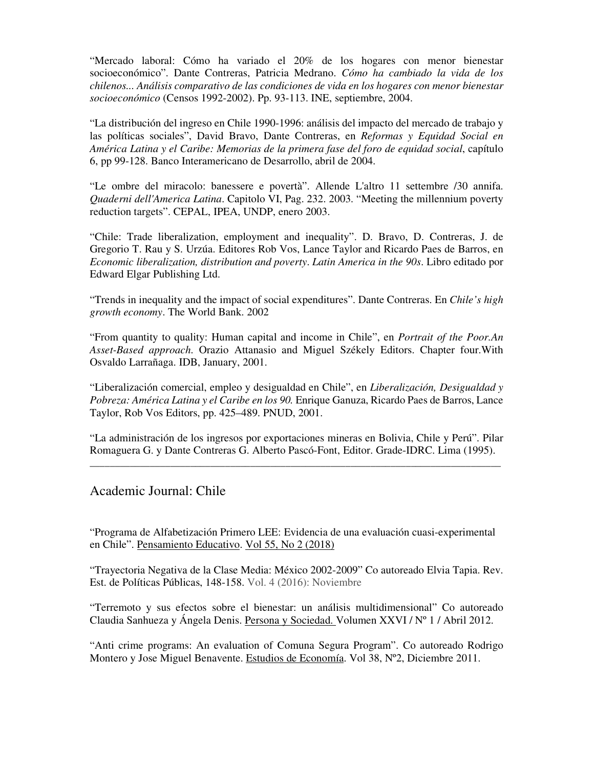"Mercado laboral: Cómo ha variado el 20% de los hogares con menor bienestar socioeconómico". Dante Contreras, Patricia Medrano. *Cómo ha cambiado la vida de los chilenos... Análisis comparativo de las condiciones de vida en los hogares con menor bienestar socioeconómico* (Censos 1992-2002). Pp. 93-113. INE, septiembre, 2004.

"La distribución del ingreso en Chile 1990-1996: análisis del impacto del mercado de trabajo y las políticas sociales", David Bravo, Dante Contreras, en *Reformas y Equidad Social en América Latina y el Caribe: Memorias de la primera fase del foro de equidad social*, capítulo 6, pp 99-128. Banco Interamericano de Desarrollo, abril de 2004.

"Le ombre del miracolo: banessere e povertà". Allende L'altro 11 settembre /30 annifa. *Quaderni dell'America Latina*. Capitolo VI, Pag. 232. 2003. "Meeting the millennium poverty reduction targets". CEPAL, IPEA, UNDP, enero 2003.

"Chile: Trade liberalization, employment and inequality". D. Bravo, D. Contreras, J. de Gregorio T. Rau y S. Urzúa. Editores Rob Vos, Lance Taylor and Ricardo Paes de Barros, en *Economic liberalization, distribution and poverty*. *Latin America in the 90s*. Libro editado por Edward Elgar Publishing Ltd.

"Trends in inequality and the impact of social expenditures". Dante Contreras. En *Chile's high growth economy*. The World Bank. 2002

"From quantity to quality: Human capital and income in Chile", en *Portrait of the Poor.An Asset-Based approach*. Orazio Attanasio and Miguel Székely Editors. Chapter four.With Osvaldo Larrañaga. IDB, January, 2001.

"Liberalización comercial, empleo y desigualdad en Chile", en *Liberalización, Desigualdad y Pobreza: América Latina y el Caribe en los 90.* Enrique Ganuza, Ricardo Paes de Barros, Lance Taylor, Rob Vos Editors, pp. 425–489. PNUD, 2001.

"La administración de los ingresos por exportaciones mineras en Bolivia, Chile y Perú". Pilar Romaguera G. y Dante Contreras G. Alberto Pascó-Font, Editor. Grade-IDRC. Lima (1995). \_\_\_\_\_\_\_\_\_\_\_\_\_\_\_\_\_\_\_\_\_\_\_\_\_\_\_\_\_\_\_\_\_\_\_\_\_\_\_\_\_\_\_\_\_\_\_\_\_\_\_\_\_\_\_\_\_\_\_\_\_\_\_\_\_\_\_\_\_\_\_\_\_\_\_\_\_\_\_\_\_\_

#### Academic Journal: Chile

"Programa de Alfabetización Primero LEE: Evidencia de una evaluación cuasi-experimental en Chile". Pensamiento Educativo. Vol 55, No 2 (2018)

"Trayectoria Negativa de la Clase Media: México 2002-2009" Co autoreado Elvia Tapia. Rev. Est. de Políticas Públicas, 148-158. Vol. 4 (2016): Noviembre

"Terremoto y sus efectos sobre el bienestar: un análisis multidimensional" Co autoreado Claudia Sanhueza y Ángela Denis. Persona y Sociedad. Volumen XXVI / Nº 1 / Abril 2012.

"Anti crime programs: An evaluation of Comuna Segura Program". Co autoreado Rodrigo Montero y Jose Miguel Benavente. Estudios de Economía. Vol 38, Nº2, Diciembre 2011.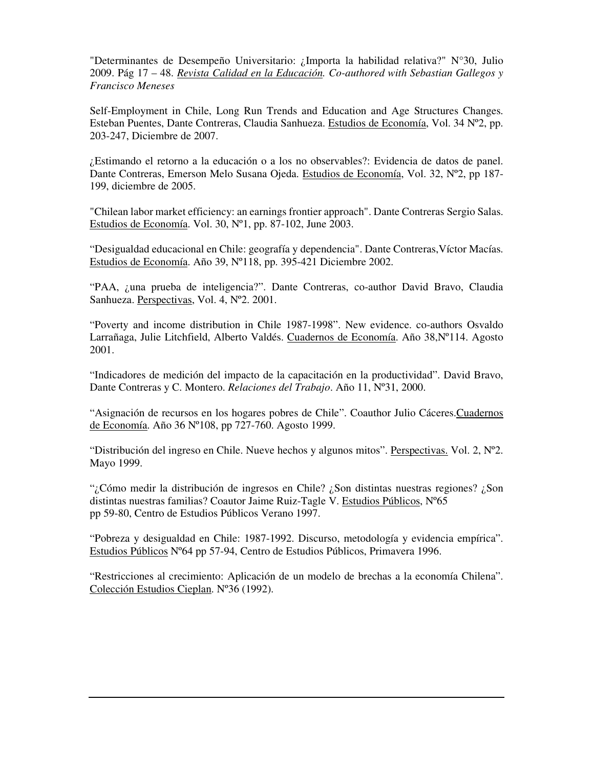"Determinantes de Desempeño Universitario: ¿Importa la habilidad relativa?" N°30, Julio 2009. Pág 17 – 48. *Revista Calidad en la Educación. Co-authored with Sebastian Gallegos y Francisco Meneses* 

Self-Employment in Chile, Long Run Trends and Education and Age Structures Changes. Esteban Puentes, Dante Contreras, Claudia Sanhueza. Estudios de Economía, Vol. 34 Nº2, pp. 203-247, Diciembre de 2007.

¿Estimando el retorno a la educación o a los no observables?: Evidencia de datos de panel. Dante Contreras, Emerson Melo Susana Ojeda. Estudios de Economía, Vol. 32, Nº2, pp 187- 199, diciembre de 2005.

"Chilean labor market efficiency: an earnings frontier approach". Dante Contreras Sergio Salas. Estudios de Economía. Vol. 30, Nº1, pp. 87-102, June 2003.

"Desigualdad educacional en Chile: geografía y dependencia". Dante Contreras,Víctor Macías. Estudios de Economía. Año 39, Nº118, pp. 395-421 Diciembre 2002.

"PAA, ¿una prueba de inteligencia?". Dante Contreras, co-author David Bravo, Claudia Sanhueza. Perspectivas, Vol. 4, Nº2. 2001.

"Poverty and income distribution in Chile 1987-1998". New evidence. co-authors Osvaldo Larrañaga, Julie Litchfield, Alberto Valdés. Cuadernos de Economía. Año 38,Nº114. Agosto 2001.

"Indicadores de medición del impacto de la capacitación en la productividad". David Bravo, Dante Contreras y C. Montero. *Relaciones del Trabajo*. Año 11, Nº31, 2000.

"Asignación de recursos en los hogares pobres de Chile". Coauthor Julio Cáceres.Cuadernos de Economía. Año 36 Nº108, pp 727-760. Agosto 1999.

"Distribución del ingreso en Chile. Nueve hechos y algunos mitos". Perspectivas. Vol. 2,  $N^{\circ}2$ . Mayo 1999.

"¿Cómo medir la distribución de ingresos en Chile? ¿Son distintas nuestras regiones? ¿Son distintas nuestras familias? Coautor Jaime Ruiz-Tagle V. Estudios Públicos, Nº65 pp 59-80, Centro de Estudios Públicos Verano 1997.

"Pobreza y desigualdad en Chile: 1987-1992. Discurso, metodología y evidencia empírica". Estudios Públicos Nº64 pp 57-94, Centro de Estudios Públicos, Primavera 1996.

"Restricciones al crecimiento: Aplicación de un modelo de brechas a la economía Chilena". Colección Estudios Cieplan. Nº36 (1992).